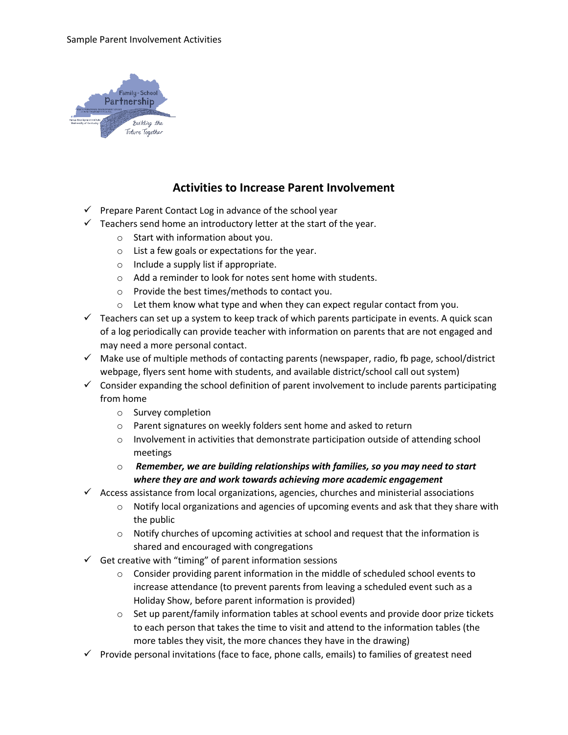

## **Activities to Increase Parent Involvement**

- ✓ Prepare Parent Contact Log in advance of the school year
- $\checkmark$  Teachers send home an introductory letter at the start of the year.
	- o Start with information about you.
	- o List a few goals or expectations for the year.
	- o Include a supply list if appropriate.
	- o Add a reminder to look for notes sent home with students.
	- o Provide the best times/methods to contact you.
	- o Let them know what type and when they can expect regular contact from you.
- $\checkmark$  Teachers can set up a system to keep track of which parents participate in events. A quick scan of a log periodically can provide teacher with information on parents that are not engaged and may need a more personal contact.
- $\checkmark$  Make use of multiple methods of contacting parents (newspaper, radio, fb page, school/district webpage, flyers sent home with students, and available district/school call out system)
- $\checkmark$  Consider expanding the school definition of parent involvement to include parents participating from home
	- o Survey completion
	- o Parent signatures on weekly folders sent home and asked to return
	- $\circ$  Involvement in activities that demonstrate participation outside of attending school meetings
	- o *Remember, we are building relationships with families, so you may need to start where they are and work towards achieving more academic engagement*
- $\checkmark$  Access assistance from local organizations, agencies, churches and ministerial associations
	- $\circ$  Notify local organizations and agencies of upcoming events and ask that they share with the public
	- $\circ$  Notify churches of upcoming activities at school and request that the information is shared and encouraged with congregations
- $\checkmark$  Get creative with "timing" of parent information sessions
	- o Consider providing parent information in the middle of scheduled school events to increase attendance (to prevent parents from leaving a scheduled event such as a Holiday Show, before parent information is provided)
	- $\circ$  Set up parent/family information tables at school events and provide door prize tickets to each person that takes the time to visit and attend to the information tables (the more tables they visit, the more chances they have in the drawing)
- $\checkmark$  Provide personal invitations (face to face, phone calls, emails) to families of greatest need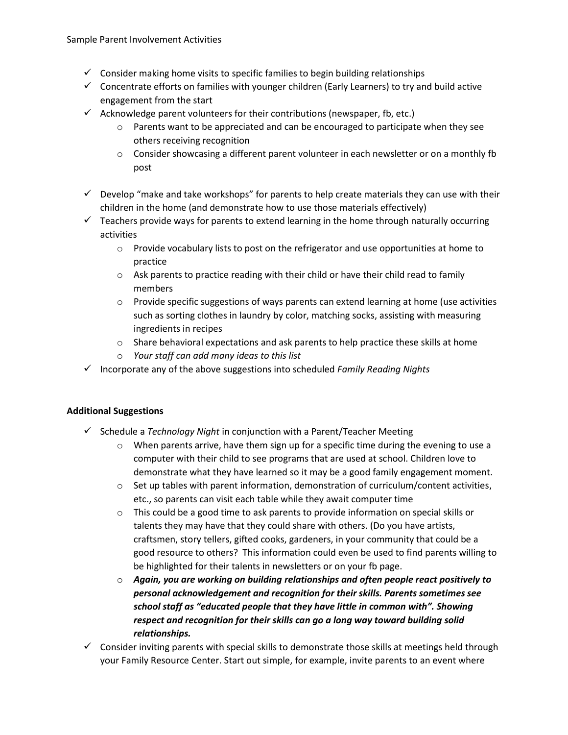- $\checkmark$  Consider making home visits to specific families to begin building relationships
- ✓ Concentrate efforts on families with younger children (Early Learners) to try and build active engagement from the start
- $\checkmark$  Acknowledge parent volunteers for their contributions (newspaper, fb, etc.)
	- $\circ$  Parents want to be appreciated and can be encouraged to participate when they see others receiving recognition
	- $\circ$  Consider showcasing a different parent volunteer in each newsletter or on a monthly fb post
- $\checkmark$  Develop "make and take workshops" for parents to help create materials they can use with their children in the home (and demonstrate how to use those materials effectively)
- $\checkmark$  Teachers provide ways for parents to extend learning in the home through naturally occurring activities
	- o Provide vocabulary lists to post on the refrigerator and use opportunities at home to practice
	- $\circ$  Ask parents to practice reading with their child or have their child read to family members
	- $\circ$  Provide specific suggestions of ways parents can extend learning at home (use activities such as sorting clothes in laundry by color, matching socks, assisting with measuring ingredients in recipes
	- $\circ$  Share behavioral expectations and ask parents to help practice these skills at home
	- o *Your staff can add many ideas to this list*
- ✓ Incorporate any of the above suggestions into scheduled *Family Reading Nights*

## **Additional Suggestions**

- ✓ Schedule a *Technology Night* in conjunction with a Parent/Teacher Meeting
	- $\circ$  When parents arrive, have them sign up for a specific time during the evening to use a computer with their child to see programs that are used at school. Children love to demonstrate what they have learned so it may be a good family engagement moment.
	- $\circ$  Set up tables with parent information, demonstration of curriculum/content activities, etc., so parents can visit each table while they await computer time
	- $\circ$  This could be a good time to ask parents to provide information on special skills or talents they may have that they could share with others. (Do you have artists, craftsmen, story tellers, gifted cooks, gardeners, in your community that could be a good resource to others? This information could even be used to find parents willing to be highlighted for their talents in newsletters or on your fb page.
	- o *Again, you are working on building relationships and often people react positively to personal acknowledgement and recognition for their skills. Parents sometimes see school staff as "educated people that they have little in common with". Showing respect and recognition for their skills can go a long way toward building solid relationships.*
- $\checkmark$  Consider inviting parents with special skills to demonstrate those skills at meetings held through your Family Resource Center. Start out simple, for example, invite parents to an event where